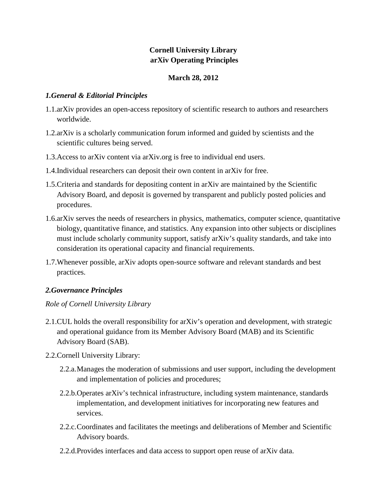# **Cornell University Library arXiv Operating Principles**

## **March 28, 2012**

## *1.General & Editorial Principles*

- 1.1.arXiv provides an open-access repository of scientific research to authors and researchers worldwide.
- 1.2.arXiv is a scholarly communication forum informed and guided by scientists and the scientific cultures being served.
- 1.3.Access to arXiv content via arXiv.org is free to individual end users.
- 1.4.Individual researchers can deposit their own content in arXiv for free.
- 1.5.Criteria and standards for depositing content in arXiv are maintained by the Scientific Advisory Board, and deposit is governed by transparent and publicly posted policies and procedures.
- 1.6.arXiv serves the needs of researchers in physics, mathematics, computer science, quantitative biology, quantitative finance, and statistics. Any expansion into other subjects or disciplines must include scholarly community support, satisfy arXiv's quality standards, and take into consideration its operational capacity and financial requirements.
- 1.7.Whenever possible, arXiv adopts open-source software and relevant standards and best practices.

## *2.Governance Principles*

## *Role of Cornell University Library*

- 2.1.CUL holds the overall responsibility for arXiv's operation and development, with strategic and operational guidance from its Member Advisory Board (MAB) and its Scientific Advisory Board (SAB).
- 2.2.Cornell University Library:
	- 2.2.a.Manages the moderation of submissions and user support, including the development and implementation of policies and procedures;
	- 2.2.b.Operates arXiv's technical infrastructure, including system maintenance, standards implementation, and development initiatives for incorporating new features and services.
	- 2.2.c.Coordinates and facilitates the meetings and deliberations of Member and Scientific Advisory boards.
	- 2.2.d.Provides interfaces and data access to support open reuse of arXiv data.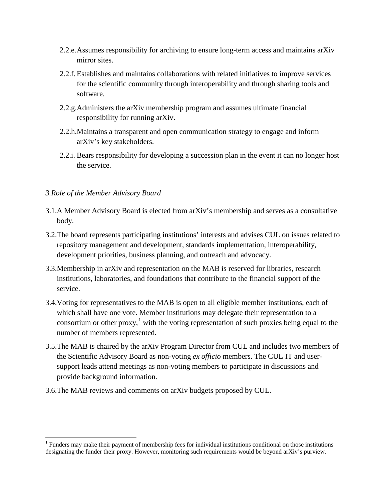- 2.2.e.Assumes responsibility for archiving to ensure long-term access and maintains arXiv mirror sites.
- 2.2.f. Establishes and maintains collaborations with related initiatives to improve services for the scientific community through interoperability and through sharing tools and software.
- 2.2.g.Administers the arXiv membership program and assumes ultimate financial responsibility for running arXiv.
- 2.2.h.Maintains a transparent and open communication strategy to engage and inform arXiv's key stakeholders.
- 2.2.i. Bears responsibility for developing a succession plan in the event it can no longer host the service.

### *3.Role of the Member Advisory Board*

 $\overline{a}$ 

- 3.1.A Member Advisory Board is elected from arXiv's membership and serves as a consultative body.
- 3.2.The board represents participating institutions' interests and advises CUL on issues related to repository management and development, standards implementation, interoperability, development priorities, business planning, and outreach and advocacy.
- 3.3.Membership in arXiv and representation on the MAB is reserved for libraries, research institutions, laboratories, and foundations that contribute to the financial support of the service.
- 3.4.Voting for representatives to the MAB is open to all eligible member institutions, each of which shall have one vote. Member institutions may delegate their representation to a consortium or other proxy,<sup>[1](#page-1-0)</sup> with the voting representation of such proxies being equal to the number of members represented.
- 3.5.The MAB is chaired by the arXiv Program Director from CUL and includes two members of the Scientific Advisory Board as non-voting *ex officio* members. The CUL IT and usersupport leads attend meetings as non-voting members to participate in discussions and provide background information.
- 3.6.The MAB reviews and comments on arXiv budgets proposed by CUL.

<span id="page-1-0"></span> $<sup>1</sup>$  Funders may make their payment of membership fees for individual institutions conditional on those institutions</sup> designating the funder their proxy. However, monitoring such requirements would be beyond arXiv's purview.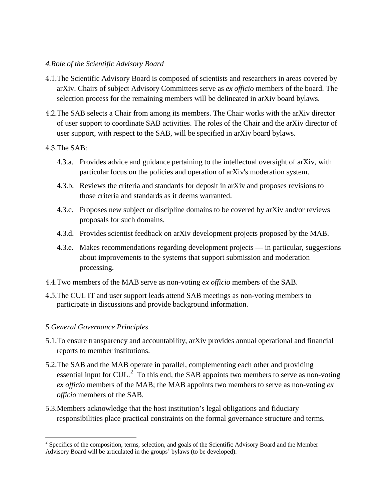#### *4.Role of the Scientific Advisory Board*

- 4.1.The Scientific Advisory Board is composed of scientists and researchers in areas covered by arXiv. Chairs of subject Advisory Committees serve as *ex officio* members of the board. The selection process for the remaining members will be delineated in arXiv board bylaws.
- 4.2.The SAB selects a Chair from among its members. The Chair works with the arXiv director of user support to coordinate SAB activities. The roles of the Chair and the arXiv director of user support, with respect to the SAB, will be specified in arXiv board bylaws.

#### 4.3.The SAB:

- 4.3.a. Provides advice and guidance pertaining to the intellectual oversight of arXiv, with particular focus on the policies and operation of arXiv's moderation system.
- 4.3.b. Reviews the criteria and standards for deposit in arXiv and proposes revisions to those criteria and standards as it deems warranted.
- 4.3.c. Proposes new subject or discipline domains to be covered by arXiv and/or reviews proposals for such domains.
- 4.3.d. Provides scientist feedback on arXiv development projects proposed by the MAB.
- 4.3.e. Makes recommendations regarding development projects in particular, suggestions about improvements to the systems that support submission and moderation processing.
- 4.4.Two members of the MAB serve as non-voting *ex officio* members of the SAB.
- 4.5.The CUL IT and user support leads attend SAB meetings as non-voting members to participate in discussions and provide background information.

### *5.General Governance Principles*

 $\overline{a}$ 

- 5.1.To ensure transparency and accountability, arXiv provides annual operational and financial reports to member institutions.
- 5.2.The SAB and the MAB operate in parallel, complementing each other and providing essential input for CUL.<sup>[2](#page-2-0)</sup> To this end, the SAB appoints two members to serve as non-voting *ex officio* members of the MAB; the MAB appoints two members to serve as non-voting *ex officio* members of the SAB.
- 5.3.Members acknowledge that the host institution's legal obligations and fiduciary responsibilities place practical constraints on the formal governance structure and terms.

<span id="page-2-0"></span><sup>&</sup>lt;sup>2</sup> Specifics of the composition, terms, selection, and goals of the Scientific Advisory Board and the Member Advisory Board will be articulated in the groups' bylaws (to be developed).